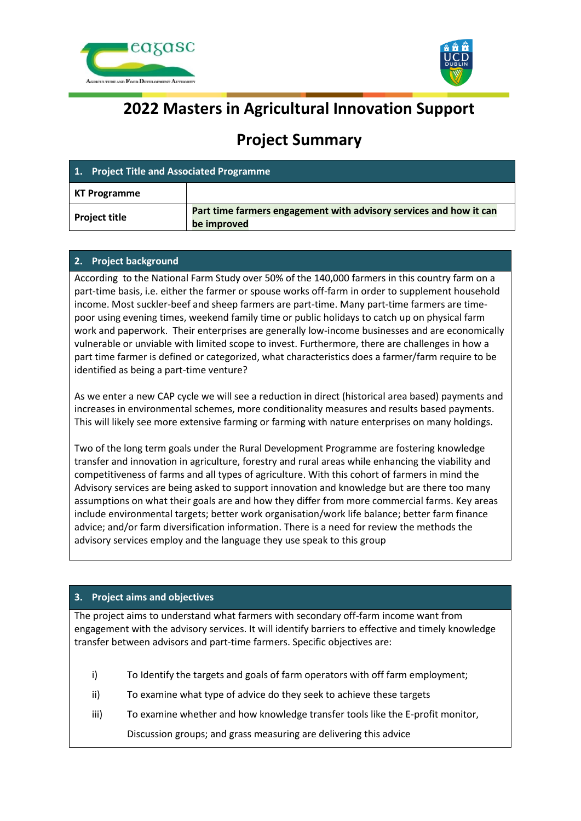



# **2022 Masters in Agricultural Innovation Support**

# **Project Summary**

| 1. Project Title and Associated Programme |                                                                                   |
|-------------------------------------------|-----------------------------------------------------------------------------------|
| <b>KT Programme</b>                       |                                                                                   |
| <b>Project title</b>                      | Part time farmers engagement with advisory services and how it can<br>be improved |

## **2. Project background**

According to the National Farm Study over 50% of the 140,000 farmers in this country farm on a part-time basis, i.e. either the farmer or spouse works off-farm in order to supplement household income. Most suckler-beef and sheep farmers are part-time. Many part-time farmers are timepoor using evening times, weekend family time or public holidays to catch up on physical farm work and paperwork. Their enterprises are generally low-income businesses and are economically vulnerable or unviable with limited scope to invest. Furthermore, there are challenges in how a part time farmer is defined or categorized, what characteristics does a farmer/farm require to be identified as being a part-time venture?

As we enter a new CAP cycle we will see a reduction in direct (historical area based) payments and increases in environmental schemes, more conditionality measures and results based payments. This will likely see more extensive farming or farming with nature enterprises on many holdings.

Two of the long term goals under the Rural Development Programme are fostering knowledge transfer and innovation in agriculture, forestry and rural areas while enhancing the viability and competitiveness of farms and all types of agriculture. With this cohort of farmers in mind the Advisory services are being asked to support innovation and knowledge but are there too many assumptions on what their goals are and how they differ from more commercial farms. Key areas include environmental targets; better work organisation/work life balance; better farm finance advice; and/or farm diversification information. There is a need for review the methods the advisory services employ and the language they use speak to this group

# **3. Project aims and objectives**

The project aims to understand what farmers with secondary off-farm income want from engagement with the advisory services. It will identify barriers to effective and timely knowledge transfer between advisors and part-time farmers. Specific objectives are:

- i) To Identify the targets and goals of farm operators with off farm employment;
- ii) To examine what type of advice do they seek to achieve these targets
- iii) To examine whether and how knowledge transfer tools like the E-profit monitor,

Discussion groups; and grass measuring are delivering this advice